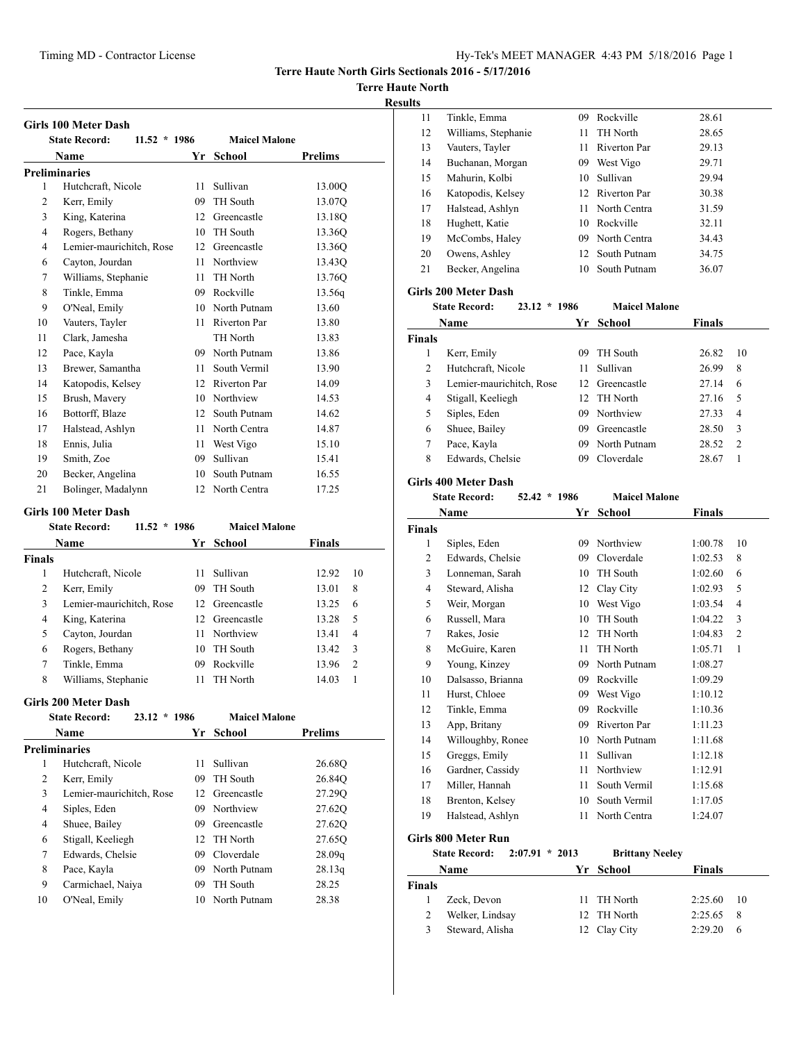**Terre Haute North Girls Sectionals 2016 - 5/17/2016**

## **Terre Haute North**

#### **Results**

|                | <b>State Record:</b><br>$11.52 * 1986$ |    | <b>Maicel Malone</b> |                    |
|----------------|----------------------------------------|----|----------------------|--------------------|
|                | Name                                   |    | Yr School            | <b>Prelims</b>     |
|                | <b>Preliminaries</b>                   |    |                      |                    |
| 1              | Hutchcraft, Nicole                     | 11 | Sullivan             | 13.00O             |
| $\overline{c}$ | Kerr, Emily                            | 09 | TH South             | 13.07Q             |
| 3              | King, Katerina                         | 12 | Greencastle          | 13.18Q             |
| 4              | Rogers, Bethany                        | 10 | TH South             | 13.36O             |
| 4              | Lemier-maurichitch, Rose               | 12 | Greencastle          | 13.36Q             |
| 6              | Cayton, Jourdan                        | 11 | Northview            | 13.43 <sub>O</sub> |
| 7              | Williams, Stephanie                    | 11 | TH North             | 13.76Q             |
| 8              | Tinkle, Emma                           | 09 | Rockville            | 13.56g             |
| 9              | O'Neal, Emily                          | 10 | North Putnam         | 13.60              |
| 10             | Vauters, Tayler                        | 11 | <b>Riverton Par</b>  | 13.80              |
| 11             | Clark, Jamesha                         |    | TH North             | 13.83              |
| 12             | Pace, Kayla                            | 09 | North Putnam         | 13.86              |
| 13             | Brewer, Samantha                       | 11 | South Vermil         | 13.90              |
| 14             | Katopodis, Kelsey                      | 12 | <b>Riverton Par</b>  | 14.09              |
| 15             | Brush, Mavery                          | 10 | Northview            | 14.53              |
| 16             | Bottorff, Blaze                        | 12 | South Putnam         | 14.62              |
| 17             | Halstead, Ashlyn                       | 11 | North Centra         | 14.87              |
| 18             | Ennis, Julia                           | 11 | West Vigo            | 15.10              |
| 19             | Smith, Zoe                             | 09 | Sullivan             | 15.41              |
| 20             | Becker, Angelina                       | 10 | South Putnam         | 16.55              |
| 21             | Bolinger, Madalynn                     | 12 | North Centra         | 17.25              |

#### **Girls 100 Meter Dash**

| 11.52<br><b>State Record:</b> |     | <b>Maicel Malone</b> |                                               |    |
|-------------------------------|-----|----------------------|-----------------------------------------------|----|
| Name                          |     |                      | <b>Finals</b>                                 |    |
|                               |     |                      |                                               |    |
| Hutchcraft, Nicole            | 11  | Sullivan             | 12.92                                         | 10 |
| Kerr, Emily                   | 09  | <b>TH</b> South      | 13.01                                         | 8  |
| Lemier-maurichitch, Rose      |     |                      | 13.25                                         | 6  |
| King, Katerina                |     |                      | 13.28                                         | 5  |
| Cayton, Jourdan               | 11. | Northview            | 13.41                                         | 4  |
| Rogers, Bethany               | 10  | TH South             | 13.42                                         | 3  |
| Tinkle, Emma                  | 09  | Rockville            | 13.96                                         | 2  |
| Williams, Stephanie           |     | <b>TH North</b>      | 14.03                                         |    |
|                               |     | $*1986$              | Yr School<br>12 Greencastle<br>12 Greencastle |    |

#### **Girls 200 Meter Dash**

|    | 23.12<br><b>State Record:</b><br>$\star$ | -1986   | <b>Maicel Malone</b> |                    |  |
|----|------------------------------------------|---------|----------------------|--------------------|--|
|    | <b>Name</b>                              | Yr      | School               | <b>Prelims</b>     |  |
|    | Preliminaries                            |         |                      |                    |  |
| 1  | Hutchcraft, Nicole                       | 11      | Sullivan             | 26.68Q             |  |
| 2  | Kerr, Emily                              | 09      | TH South             | 26.84Q             |  |
| 3  | Lemier-maurichitch, Rose                 | $12-12$ | Greencastle          | 27.290             |  |
| 4  | Siples, Eden                             | 09.     | Northview            | 27.62Q             |  |
| 4  | Shuee, Bailey                            | 09.     | Greencastle          | 27.620             |  |
| 6  | Stigall, Keeliegh                        |         | 12 TH North          | 27.65Q             |  |
| 7  | Edwards, Chelsie                         | 09.     | Cloverdale           | 28.09 <sub>q</sub> |  |
| 8  | Pace, Kayla                              | 09      | North Putnam         | 28.13q             |  |
| 9  | Carmichael, Naiya                        | 09      | TH South             | 28.25              |  |
| 10 | O'Neal, Emily                            | 10      | North Putnam         | 28.38              |  |
|    |                                          |         |                      |                    |  |

| 11 | Tinkle, Emma        | 09  | Rockville       | 28.61 |
|----|---------------------|-----|-----------------|-------|
| 12 | Williams, Stephanie | 11. | TH North        | 28.65 |
| 13 | Vauters, Tayler     | 11  | Riverton Par    | 29.13 |
| 14 | Buchanan, Morgan    | 09  | West Vigo       | 29.71 |
| 15 | Mahurin, Kolbi      | 10  | Sullivan        | 29.94 |
| 16 | Katopodis, Kelsey   |     | 12 Riverton Par | 30.38 |
| 17 | Halstead, Ashlyn    | 11  | North Centra    | 31.59 |
| 18 | Hughett, Katie      | 10  | Rockville       | 32.11 |
| 19 | McCombs, Haley      | 09  | North Centra    | 34.43 |
| 20 | Owens, Ashley       |     | 12 South Putnam | 34.75 |
| 21 | Becker, Angelina    | 10  | South Putnam    | 36.07 |
|    |                     |     |                 |       |

#### **Girls 200 Meter Dash**

|               | $23.12 * 1986$<br><b>State Record:</b> |     | <b>Maicel Malone</b> |               |    |
|---------------|----------------------------------------|-----|----------------------|---------------|----|
|               | <b>Name</b>                            | Yr  | School               | <b>Finals</b> |    |
| <b>Finals</b> |                                        |     |                      |               |    |
| 1             | Kerr, Emily                            | 09  | <b>TH</b> South      | 26.82         | 10 |
| 2             | Hutchcraft, Nicole                     | 11  | Sullivan             | 26.99         | 8  |
| 3             | Lemier-maurichitch, Rose               |     | 12 Greencastle       | 27.14         | 6  |
| 4             | Stigall, Keeliegh                      | 12. | TH North             | 27.16         | 5  |
| 5             | Siples, Eden                           | 09  | Northview            | 27.33         | 4  |
| 6             | Shuee, Bailey                          | 09  | Greencastle          | 28.50         | 3  |
| 7             | Pace, Kayla                            | 09  | North Putnam         | 28.52         | 2  |
| 8             | Edwards, Chelsie                       | 09  | Cloverdale           | 28.67         |    |

#### **Girls 400 Meter Dash**

|                | VIII) 400 MICICI <i>D'</i> am   |              |                        |               |                |
|----------------|---------------------------------|--------------|------------------------|---------------|----------------|
|                | <b>State Record:</b>            | 52.42 * 1986 | <b>Maicel Malone</b>   |               |                |
|                | Name                            | Yr           | <b>School</b>          | <b>Finals</b> |                |
| <b>Finals</b>  |                                 |              |                        |               |                |
| 1              | Siples, Eden                    | 09           | Northview              | 1:00.78       | 10             |
| 2              | Edwards, Chelsie                | 09           | Cloverdale             | 1:02.53       | 8              |
| 3              | Lonneman, Sarah                 | 10           | TH South               | 1:02.60       | 6              |
| $\overline{4}$ | Steward, Alisha                 | 12           | Clay City              | 1:02.93       | 5              |
| 5              | Weir, Morgan                    | 10           | West Vigo              | 1:03.54       | 4              |
| 6              | Russell, Mara                   | 10           | TH South               | 1:04.22       | 3              |
| 7              | Rakes, Josie                    | 12           | TH North               | 1:04.83       | $\overline{2}$ |
| 8              | McGuire, Karen                  | 11           | TH North               | 1:05.71       | 1              |
| 9              | Young, Kinzey                   |              | 09 North Putnam        | 1:08.27       |                |
| 10             | Dalsasso, Brianna               |              | 09 Rockville           | 1:09.29       |                |
| 11             | Hurst, Chloee                   |              | 09 West Vigo           | 1:10.12       |                |
| 12             | Tinkle, Emma                    |              | 09 Rockville           | 1:10.36       |                |
| 13             | App, Britany                    |              | 09 Riverton Par        | 1:11.23       |                |
| 14             | Willoughby, Ronee               |              | 10 North Putnam        | 1:11.68       |                |
| 15             | Greggs, Emily                   | 11           | Sullivan               | 1:12.18       |                |
| 16             | Gardner, Cassidy                | 11           | Northview              | 1:12.91       |                |
| 17             | Miller, Hannah                  | 11           | South Vermil           | 1:15.68       |                |
| 18             | Brenton, Kelsey                 | 10           | South Vermil           | 1:17.05       |                |
| 19             | Halstead, Ashlyn                | 11           | North Centra           | 1:24.07       |                |
|                | <b>Girls 800 Meter Run</b>      |              |                        |               |                |
|                | <b>State Record:</b><br>2:07.91 | $*2013$      | <b>Brittany Neeley</b> |               |                |
|                | Name                            | Yr           | <b>School</b>          | <b>Finals</b> |                |
| <b>Finals</b>  |                                 |              |                        |               |                |
| 1              | Zeck, Devon                     | 11           | TH North               | 2:25.60       | 10             |
| $\overline{c}$ | Welker, Lindsay                 | 12           | TH North               | 2:25.65       | 8              |

Steward, Alisha 12 Clay City 2:29.20 6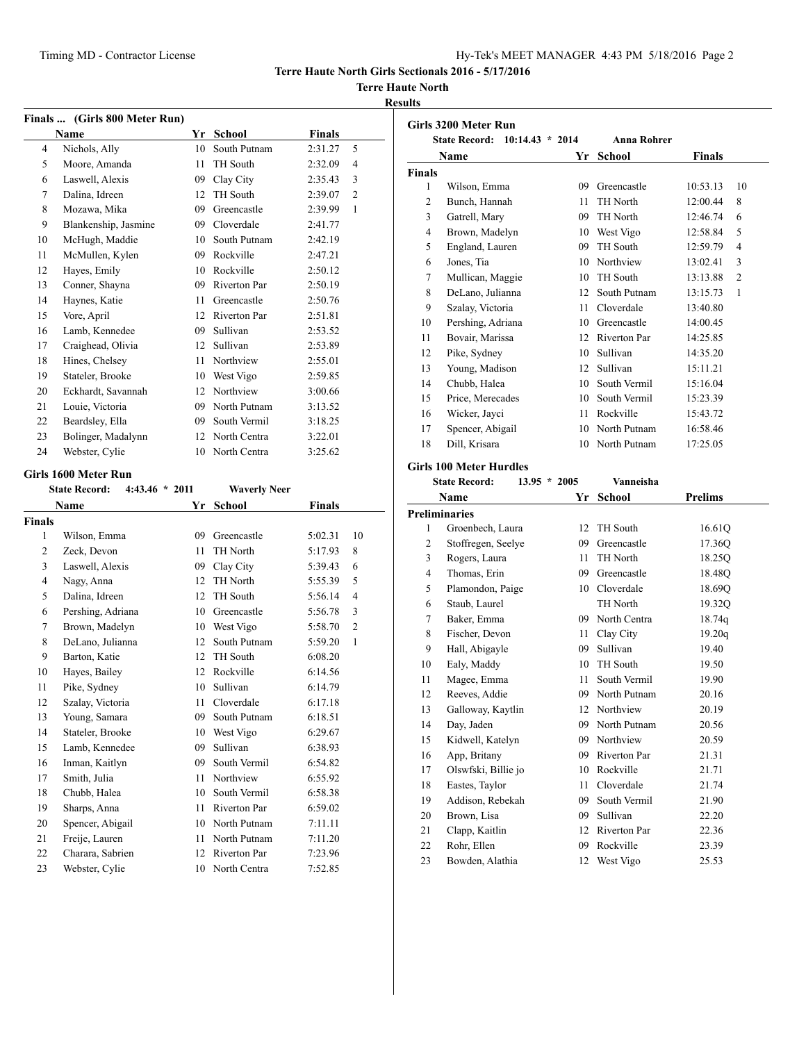**State Record: 10:14.43 \* 2014 Anna Rohrer**

**Name Yr School Finals**

**Terre Haute North Girls Sectionals 2016 - 5/17/2016**

## **Terre Haute North**

#### **Results**

**Girls 3200 Meter Run**

|                | Finals  (Girls 800 Meter Run)            |    |                     |               |                |
|----------------|------------------------------------------|----|---------------------|---------------|----------------|
|                | <b>Name</b>                              |    | Yr School           | <b>Finals</b> |                |
| 4              | Nichols, Ally                            | 10 | South Putnam        | 2:31.27       | 5              |
| 5              | Moore, Amanda                            | 11 | TH South            | 2:32.09       | $\overline{4}$ |
| 6              | Laswell, Alexis                          | 09 | Clay City           | 2:35.43       | 3              |
| 7              | Dalina, Idreen                           | 12 | TH South            | 2:39.07       | $\overline{2}$ |
| 8              | Mozawa, Mika                             | 09 | Greencastle         | 2:39.99       | 1              |
| 9              | Blankenship, Jasmine                     | 09 | Cloverdale          | 2:41.77       |                |
| 10             | McHugh, Maddie                           | 10 | South Putnam        | 2:42.19       |                |
| 11             | McMullen, Kylen                          | 09 | Rockville           | 2:47.21       |                |
| 12             | Hayes, Emily                             | 10 | Rockville           | 2:50.12       |                |
| 13             | Conner, Shayna                           | 09 | <b>Riverton Par</b> | 2:50.19       |                |
| 14             | Haynes, Katie                            | 11 | Greencastle         | 2:50.76       |                |
| 15             | Vore, April                              | 12 | <b>Riverton Par</b> | 2:51.81       |                |
| 16             | Lamb, Kennedee                           | 09 | Sullivan            | 2:53.52       |                |
| 17             | Craighead, Olivia                        | 12 | Sullivan            | 2:53.89       |                |
| 18             | Hines, Chelsey                           | 11 | Northview           | 2:55.01       |                |
| 19             | Stateler, Brooke                         | 10 | West Vigo           | 2:59.85       |                |
| 20             | Eckhardt, Savannah                       | 12 | Northview           | 3:00.66       |                |
| 21             | Louie, Victoria                          | 09 | North Putnam        | 3:13.52       |                |
| 22             | Beardsley, Ella                          | 09 | South Vermil        | 3:18.25       |                |
| 23             | Bolinger, Madalynn                       | 12 | North Centra        | 3:22.01       |                |
| 24             | Webster, Cylie                           | 10 | North Centra        | 3:25.62       |                |
|                | Girls 1600 Meter Run                     |    |                     |               |                |
|                | <b>State Record:</b><br>$4:43.46 * 2011$ |    | <b>Waverly Neer</b> |               |                |
|                | Name                                     | Yr | <b>School</b>       | <b>Finals</b> |                |
| <b>Finals</b>  |                                          |    |                     |               |                |
| 1              | Wilson, Emma                             | 09 | Greencastle         | 5:02.31       | 10             |
| $\overline{2}$ | Zeck, Devon                              | 11 | TH North            | 5:17.93       | 8              |

 Laswell, Alexis 09 Clay City 5:39.43 6 Nagy, Anna 12 TH North 5:55.39 5 Dalina, Idreen 12 TH South 5:56.14 4 Pershing, Adriana 10 Greencastle 5:56.78 3 Brown, Madelyn 10 West Vigo 5:58.70 2 DeLano, Julianna 12 South Putnam 5:59.20 1

 Charara, Sabrien 12 Riverton Par 7:23.96 Webster, Cylie 10 North Centra 7:52.85

| <b>Finals</b>           |                                |                |                 |                            |  |
|-------------------------|--------------------------------|----------------|-----------------|----------------------------|--|
| 1                       | Wilson, Emma                   |                | 09 Greencastle  | 10<br>10:53.13             |  |
| $\overline{c}$          | Bunch, Hannah                  | 11             | TH North        | 8<br>12:00.44              |  |
| 3                       | Gatrell, Mary                  |                | 09 TH North     | 12:46.74<br>6              |  |
| $\overline{\mathbf{4}}$ | Brown, Madelyn                 |                | 10 West Vigo    | 5<br>12:58.84              |  |
| 5                       | England, Lauren                |                | 09 TH South     | 4<br>12:59.79              |  |
| 6                       | Jones, Tia                     |                | 10 Northview    | 13:02.41<br>3              |  |
| $\overline{7}$          | Mullican, Maggie               |                | 10 TH South     | $\overline{c}$<br>13:13.88 |  |
| 8                       | DeLano, Julianna               | 12             | South Putnam    | 1<br>13:15.73              |  |
| 9                       | Szalay, Victoria               | 11.            | Cloverdale      | 13:40.80                   |  |
| 10                      | Pershing, Adriana              |                | 10 Greencastle  | 14:00.45                   |  |
| 11                      | Bovair, Marissa                |                | 12 Riverton Par | 14:25.85                   |  |
| 12                      | Pike, Sydney                   |                | 10 Sullivan     | 14:35.20                   |  |
| 13                      | Young, Madison                 | 12             | Sullivan        | 15:11.21                   |  |
| 14                      | Chubb, Halea                   |                | 10 South Vermil | 15:16.04                   |  |
| 15                      | Price, Merecades               |                | 10 South Vermil | 15:23.39                   |  |
| 16                      | Wicker, Jayci                  | 11             | Rockville       | 15:43.72                   |  |
| 17                      | Spencer, Abigail               |                | 10 North Putnam | 16:58.46                   |  |
| 18                      | Dill, Krisara                  |                | 10 North Putnam | 17:25.05                   |  |
|                         | <b>Girls 100 Meter Hurdles</b> |                |                 |                            |  |
|                         |                                |                |                 |                            |  |
|                         | <b>State Record:</b>           | $13.95 * 2005$ | Vanneisha       |                            |  |
|                         | Name                           | Yr             | <b>School</b>   | <b>Prelims</b>             |  |
| <b>Preliminaries</b>    |                                |                |                 |                            |  |
| 1                       | Groenbech, Laura               | 12             | TH South        | 16.61Q                     |  |
| $\overline{c}$          | Stoffregen, Seelye             |                | 09 Greencastle  | 17.36Q                     |  |
| 3                       | Rogers, Laura                  | 11             | TH North        | 18.25Q                     |  |
| $\overline{\mathbf{4}}$ | Thomas, Erin                   |                | 09 Greencastle  | 18.48Q                     |  |
| 5                       | Plamondon, Paige               |                | 10 Cloverdale   | 18.69Q                     |  |
| 6                       | Staub, Laurel                  |                | TH North        | 19.32Q                     |  |
| $\overline{7}$          | Baker, Emma                    |                | 09 North Centra | 18.74q                     |  |
| 8                       | Fischer, Devon                 | 11 -           | Clay City       | 19.20q                     |  |
| 9                       | Hall, Abigayle                 |                | 09 Sullivan     | 19.40                      |  |
| 10                      | Ealy, Maddy                    |                | 10 TH South     | 19.50                      |  |
| 11                      | Magee, Emma                    | 11.            | South Vermil    | 19.90                      |  |
| 12                      | Reeves, Addie                  |                | 09 North Putnam | 20.16                      |  |
| 13                      | Galloway, Kaytlin              |                | 12 Northview    | 20.19                      |  |
| 14                      | Day, Jaden                     |                | 09 North Putnam | 20.56                      |  |
| 15                      | Kidwell, Katelyn               |                | 09 Northview    | 20.59                      |  |
| 16                      | App, Britany                   |                | 09 Riverton Par | 21.31                      |  |
| 17                      | Olswfski, Billie jo            |                | 10 Rockville    | 21.71                      |  |

Bowden, Alathia 12 West Vigo 25.53

|        |                                           |                                                |              |               | ッ  | Hall, Abigayle      | 09 Sumvan       | 19.40 |
|--------|-------------------------------------------|------------------------------------------------|--------------|---------------|----|---------------------|-----------------|-------|
| 9      | Barton, Katie                             | 12 TH South                                    |              | 6:08.20       | 10 | Ealy, Maddy         | 10 TH South     | 19.50 |
| 10     | Haves, Bailey                             | 12 Rockville                                   |              | 6:14.56       | 11 | Magee, Emma         | 11 South Vermil | 19.90 |
| 11     | Pike, Sydney                              | 10 Sullivan                                    |              | 6:14.79       |    |                     | 09 North Putnam |       |
| 12     | Szalav, Victoria                          | 11 Cloverdale                                  |              | 6:17.18       | 12 | Reeves, Addie       |                 | 20.16 |
| 13     | Young, Samara                             | 09                                             | South Putnam | 6:18.51       | 13 | Galloway, Kaytlin   | 12 Northview    | 20.19 |
| 14     | Stateler, Brooke                          | 10 West Vigo                                   |              | 6:29.67       | 14 | Day, Jaden          | 09 North Putnam | 20.56 |
|        |                                           |                                                |              |               | 15 | Kidwell, Katelyn    | 09 Northview    | 20.59 |
| 15     | Lamb, Kennedee                            | Sullivan<br>09                                 |              | 6:38.93       | 16 | App, Britany        | 09 Riverton Par | 21.31 |
| 16     | Inman, Kaitlyn                            | 09                                             | South Vermil | 6:54.82       | 17 | Olswfski, Billie jo | 10 Rockville    | 21.71 |
| 17     | Smith, Julia                              | Northview<br>11.                               |              | 6:55.92       |    |                     |                 |       |
| 18     | Chubb, Halea                              | 10 South Vermil                                |              | 6:58.38       | 18 | Eastes, Taylor      | 11 Cloverdale   | 21.74 |
| 19     | Sharps, Anna                              | 11 Riverton Par                                |              | 6:59.02       | 19 | Addison, Rebekah    | 09 South Vermil | 21.90 |
| 20     |                                           | 10 North Putnam                                |              | 7:11.11       | 20 | Brown, Lisa         | 09 Sullivan     | 22.20 |
|        | Spencer, Abigail                          |                                                |              |               | 21 | Clapp, Kaitlin      | 12 Riverton Par | 22.36 |
| 21     | Freije, Lauren                            | 11 North Putnam                                |              | 7:11.20       | 22 | Rohr, Ellen         | 09 Rockville    | 23.39 |
| $\sim$ | $\sim$ $\sim$ $\sim$ $\sim$ $\sim$ $\sim$ | $\mathbf{A}$ and $\mathbf{B}$ and $\mathbf{B}$ |              | $\sim$ $\sim$ |    |                     |                 |       |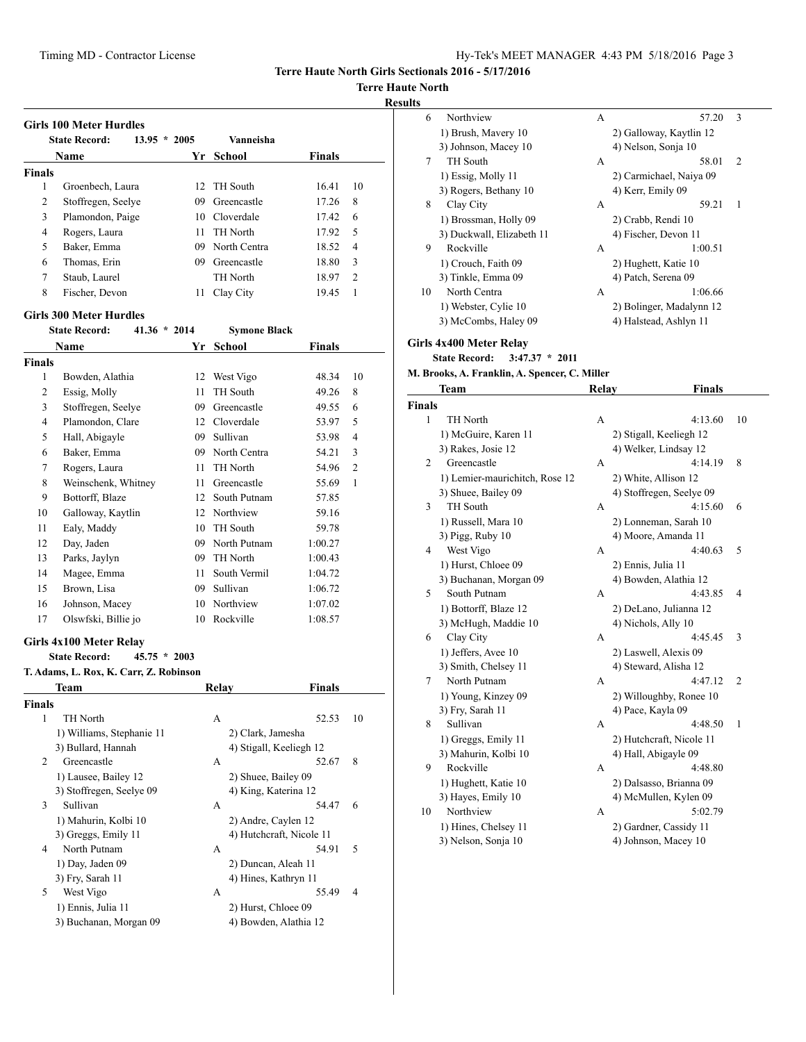**Terre Haute North Girls Sectionals 2016 - 5/17/2016**

**Terre Haute North**

#### **Results**

|               | <b>State Record:</b><br>$13.95 * 2005$                                           |    | Vanneisha                |               |    |
|---------------|----------------------------------------------------------------------------------|----|--------------------------|---------------|----|
|               | Name                                                                             |    | Yr School                | <b>Finals</b> |    |
| <b>Finals</b> |                                                                                  |    |                          |               |    |
| 1             | Groenbech, Laura                                                                 | 12 | TH South                 | 16.41         | 10 |
| 2             | Stoffregen, Seelye                                                               |    | 09 Greencastle           | 17.26         | 8  |
| 3             | Plamondon, Paige                                                                 |    | 10 Cloverdale            | 17.42         | 6  |
| 4             | Rogers, Laura                                                                    | 11 | TH North                 | 17.92         | 5  |
| 5             | Baker, Emma                                                                      | 09 | North Centra             | 18.52         | 4  |
| 6             | Thomas, Erin                                                                     |    | 09 Greencastle           | 18.80         | 3  |
| 7             | Staub, Laurel                                                                    |    | TH North                 | 18.97         | 2  |
| 8             | Fischer, Devon                                                                   | 11 | Clay City                | 19.45         | 1  |
|               | <b>Girls 300 Meter Hurdles</b>                                                   |    |                          |               |    |
|               | <b>State Record:</b><br>$41.36 * 2014$                                           |    | <b>Symone Black</b>      |               |    |
|               | Name                                                                             | Yr | <b>School</b>            | Finals        |    |
| <b>Finals</b> |                                                                                  |    |                          |               |    |
| 1             | Bowden, Alathia                                                                  |    | 12 West Vigo             | 48.34         | 10 |
| 2             | Essig, Molly                                                                     | 11 | TH South                 | 49.26         | 8  |
| 3             | Stoffregen, Seelye                                                               |    | 09 Greencastle           | 49.55         | 6  |
| 4             | Plamondon, Clare                                                                 |    | 12 Cloverdale            | 53.97         | 5  |
| 5             | Hall, Abigayle                                                                   | 09 | Sullivan                 | 53.98         | 4  |
| 6             | Baker, Emma                                                                      | 09 | North Centra             | 54.21         | 3  |
| 7             | Rogers, Laura                                                                    | 11 | TH North                 | 54.96         | 2  |
| 8             | Weinschenk, Whitney                                                              | 11 | Greencastle              | 55.69         | 1  |
| 9             | Bottorff, Blaze                                                                  | 12 | South Putnam             | 57.85         |    |
| 10            | Galloway, Kaytlin                                                                | 12 | Northview                | 59.16         |    |
| 11            | Ealy, Maddy                                                                      | 10 | TH South                 | 59.78         |    |
| 12            | Day, Jaden                                                                       | 09 | North Putnam             | 1:00.27       |    |
| 13            | Parks, Jaylyn                                                                    |    | 09 TH North              | 1:00.43       |    |
| 14            | Magee, Emma                                                                      | 11 | South Vermil             | 1:04.72       |    |
| 15            | Brown, Lisa                                                                      |    | 09 Sullivan              | 1:06.72       |    |
| 16            | Johnson, Macey                                                                   |    | 10 Northview             | 1:07.02       |    |
| 17            | Olswfski, Billie jo                                                              |    | 10 Rockville             | 1:08.57       |    |
|               | Girls 4x100 Meter Relay                                                          |    |                          |               |    |
|               | $45.75 * 2003$<br><b>State Record:</b><br>T. Adams, L. Rox, K. Carr, Z. Robinson |    |                          |               |    |
|               | Team                                                                             |    | Relay                    | Finals        |    |
| <b>Finals</b> |                                                                                  |    |                          |               |    |
| 1             | TH North                                                                         |    | A                        | 52.53         | 10 |
|               | 1) Williams, Stephanie 11                                                        |    | 2) Clark, Jamesha        |               |    |
|               | 3) Bullard, Hannah                                                               |    | 4) Stigall, Keeliegh 12  |               |    |
| 2             | Greencastle                                                                      |    | A                        | 52.67         | 8  |
|               | 1) Lausee, Bailey 12                                                             |    | 2) Shuee, Bailey 09      |               |    |
|               | 3) Stoffregen, Seelye 09                                                         |    | 4) King, Katerina 12     |               |    |
| 3             | Sullivan                                                                         |    | A                        | 54.47         | 6  |
|               | 1) Mahurin, Kolbi 10                                                             |    | 2) Andre, Caylen 12      |               |    |
|               | 3) Greggs, Emily 11                                                              |    | 4) Hutchcraft, Nicole 11 |               |    |
| 4             | North Putnam                                                                     |    | A                        | 54.91         | 5  |
|               | 1) Day, Jaden 09                                                                 |    | 2) Duncan, Aleah 11      |               |    |
|               | 3) Fry, Sarah 11                                                                 |    | 4) Hines, Kathryn 11     |               |    |
|               |                                                                                  |    | A                        | 55.49         | 4  |
| 5             | West Vigo<br>1) Ennis, Julia 11                                                  |    | 2) Hurst, Chloee 09      |               |    |

| 6  | Northview                 | A | 57.20                    | 3 |  |
|----|---------------------------|---|--------------------------|---|--|
|    | 1) Brush, Mavery 10       |   | 2) Galloway, Kaytlin 12  |   |  |
|    | 3) Johnson, Macey 10      |   | 4) Nelson, Sonja 10      |   |  |
| 7  | TH South                  | А | 58.01                    | 2 |  |
|    | 1) Essig, Molly 11        |   | 2) Carmichael, Naiya 09  |   |  |
|    | 3) Rogers, Bethany 10     |   | 4) Kerr, Emily 09        |   |  |
| 8  | Clay City                 | A | 59.21                    | 1 |  |
|    | 1) Brossman, Holly 09     |   | 2) Crabb, Rendi 10       |   |  |
|    | 3) Duckwall, Elizabeth 11 |   | 4) Fischer, Devon 11     |   |  |
| 9  | Rockville                 | A | 1:00.51                  |   |  |
|    | 1) Crouch, Faith 09       |   | 2) Hughett, Katie 10     |   |  |
|    | 3) Tinkle, Emma 09        |   | 4) Patch, Serena 09      |   |  |
| 10 | North Centra              | А | 1:06.66                  |   |  |
|    | 1) Webster, Cylie 10      |   | 2) Bolinger, Madalynn 12 |   |  |
|    | 3) McCombs, Haley 09      |   | 4) Halstead, Ashlyn 11   |   |  |
|    |                           |   |                          |   |  |

# **Girls 4x400 Meter Relay**

**State Record: 3:47.37 \* 2011**

# **M. Brooks, A. Franklin, A. Spencer, C. Miller**

|               | Team                           | Relay | <b>Finals</b>            |                |
|---------------|--------------------------------|-------|--------------------------|----------------|
| <b>Finals</b> |                                |       |                          |                |
| 1             | TH North                       | A     | 4:13.60                  | 10             |
|               | 1) McGuire, Karen 11           |       | 2) Stigall, Keeliegh 12  |                |
|               | 3) Rakes, Josie 12             |       | 4) Welker, Lindsay 12    |                |
| 2             | Greencastle                    | A     | 4:14.19                  | 8              |
|               | 1) Lemier-maurichitch, Rose 12 |       | 2) White, Allison 12     |                |
|               | 3) Shuee, Bailey 09            |       | 4) Stoffregen, Seelye 09 |                |
| 3             | <b>TH</b> South                | A     | 4:15.60                  | 6              |
|               | 1) Russell, Mara 10            |       | 2) Lonneman, Sarah 10    |                |
|               | 3) Pigg, Ruby 10               |       | 4) Moore, Amanda 11      |                |
| 4             | West Vigo                      | A     | 4:40.63                  | 5              |
|               | 1) Hurst, Chloee 09            |       | 2) Ennis, Julia 11       |                |
|               | 3) Buchanan, Morgan 09         |       | 4) Bowden, Alathia 12    |                |
| 5             | South Putnam                   | A     | 4:43.85                  | 4              |
|               | 1) Bottorff, Blaze 12          |       | 2) DeLano, Julianna 12   |                |
|               | 3) McHugh, Maddie 10           |       | 4) Nichols, Ally 10      |                |
| 6             | Clay City                      | A     | 4:45.45                  | 3              |
|               | 1) Jeffers, Avee 10            |       | 2) Laswell, Alexis 09    |                |
|               | 3) Smith, Chelsey 11           |       | 4) Steward, Alisha 12    |                |
| 7             | North Putnam                   | A     | 4:47.12                  | $\overline{2}$ |
|               | 1) Young, Kinzey 09            |       | 2) Willoughby, Ronee 10  |                |
|               | 3) Fry, Sarah 11               |       | 4) Pace, Kayla 09        |                |
| 8             | Sullivan                       | A     | 4:48.50                  | 1              |
|               | 1) Greggs, Emily 11            |       | 2) Hutchcraft, Nicole 11 |                |
|               | 3) Mahurin, Kolbi 10           |       | 4) Hall, Abigayle 09     |                |
| 9             | Rockville                      | A     | 4:48.80                  |                |
|               | 1) Hughett, Katie 10           |       | 2) Dalsasso, Brianna 09  |                |
|               | 3) Hayes, Emily 10             |       | 4) McMullen, Kylen 09    |                |
| 10            | Northview                      | A     | 5:02.79                  |                |
|               | 1) Hines, Chelsey 11           |       | 2) Gardner, Cassidy 11   |                |
|               | 3) Nelson, Sonja 10            |       | 4) Johnson, Macey 10     |                |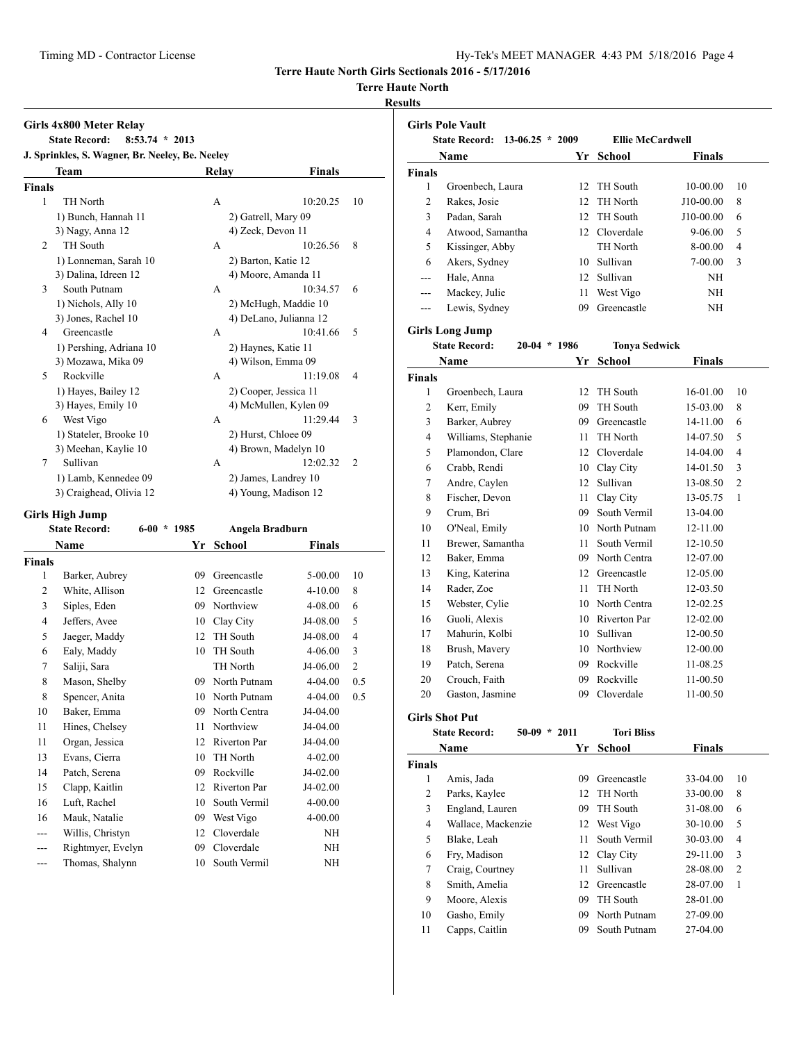**Terre Haute North Girls Sectionals 2016 - 5/17/2016**

#### **Terre Haute North**

#### **Results**

|                        | $8:53.74 * 2013$<br><b>State Record:</b>        |               |                                              |               |                |
|------------------------|-------------------------------------------------|---------------|----------------------------------------------|---------------|----------------|
|                        | J. Sprinkles, S. Wagner, Br. Neeley, Be. Neeley |               |                                              |               |                |
|                        | Team                                            |               | Relay                                        | <b>Finals</b> |                |
| <b>Finals</b>          |                                                 |               |                                              |               |                |
| 1                      | TH North                                        |               | A                                            | 10:20.25      | 10             |
|                        | 1) Bunch, Hannah 11                             |               | 2) Gatrell, Mary 09                          |               |                |
|                        | 3) Nagy, Anna 12                                |               | 4) Zeck, Devon 11                            |               |                |
| 2                      | TH South                                        |               | A                                            | 10:26.56      | 8              |
|                        | 1) Lonneman, Sarah 10                           |               | 2) Barton, Katie 12                          |               |                |
|                        | 3) Dalina, Idreen 12                            |               | 4) Moore, Amanda 11                          |               |                |
| 3                      | South Putnam                                    |               | A                                            | 10:34.57      | 6              |
|                        | 1) Nichols, Ally 10                             |               | 2) McHugh, Maddie 10                         |               |                |
|                        | 3) Jones, Rachel 10                             |               | 4) DeLano, Julianna 12                       |               |                |
| 4                      | Greencastle                                     |               | A                                            | 10:41.66      | 5              |
|                        | 1) Pershing, Adriana 10                         |               | 2) Haynes, Katie 11                          |               |                |
|                        | 3) Mozawa, Mika 09                              |               | 4) Wilson, Emma 09                           |               |                |
| 5                      | Rockville                                       |               | A                                            | 11:19.08      | 4              |
|                        | 1) Hayes, Bailey 12                             |               | 2) Cooper, Jessica 11                        |               |                |
|                        | 3) Hayes, Emily 10                              |               | 4) McMullen, Kylen 09                        |               |                |
| 6                      | West Vigo                                       |               | A                                            | 11:29.44      | 3              |
|                        | 1) Stateler, Brooke 10                          |               | 2) Hurst, Chloee 09                          |               |                |
|                        | 3) Meehan, Kaylie 10                            |               | 4) Brown, Madelyn 10                         |               |                |
| 7                      | Sullivan                                        |               | A                                            | 12:02.32      | $\overline{2}$ |
|                        | 1) Lamb, Kennedee 09                            |               | 2) James, Landrey 10<br>4) Young, Madison 12 |               |                |
|                        | 3) Craighead, Olivia 12                         |               |                                              |               |                |
|                        |                                                 |               |                                              |               |                |
|                        | <b>Girls High Jump</b>                          |               |                                              |               |                |
|                        | <b>State Record:</b>                            | $6-00 * 1985$ | Angela Bradburn                              |               |                |
|                        | <b>Name</b>                                     | Yr            | School                                       | <b>Finals</b> |                |
|                        |                                                 |               |                                              |               |                |
| 1                      | Barker, Aubrey                                  | 09            | Greencastle                                  | 5-00.00       | 10             |
| 2                      | White, Allison                                  |               | 12 Greencastle                               | $4 - 10.00$   | 8              |
| 3                      | Siples, Eden                                    |               | 09 Northview                                 | 4-08.00       | 6              |
| 4                      | Jeffers, Avee                                   |               | 10 Clay City                                 | J4-08.00      | 5              |
| 5                      | Jaeger, Maddy                                   | 12            | TH South                                     | J4-08.00      | 4              |
| 6                      | Ealy, Maddy                                     |               | 10 TH South                                  | 4-06.00       | 3              |
| 7                      | Saliji, Sara                                    |               | TH North                                     | J4-06.00      | $\overline{2}$ |
| 8                      | Mason, Shelby                                   |               | 09 North Putnam                              | 4-04.00       | 0.5            |
| 8                      | Spencer, Anita                                  | 10            | North Putnam                                 | 4-04.00       | 0.5            |
| 10                     | Baker, Emma                                     | 09            | North Centra                                 | J4-04.00      |                |
| 11                     | Hines, Chelsey                                  | 11            | Northview                                    | J4-04.00      |                |
| 11                     | Organ, Jessica                                  | 12            | Riverton Par                                 | J4-04.00      |                |
| 13                     | Evans, Cierra                                   | 10            | TH North                                     | 4-02.00       |                |
| 14                     | Patch, Serena                                   | 09            | Rockville                                    | J4-02.00      |                |
| 15                     | Clapp, Kaitlin                                  | 12            | Riverton Par                                 | J4-02.00      |                |
| 16                     | Luft, Rachel                                    | 10            | South Vermil                                 | 4-00.00       |                |
| 16                     | Mauk, Natalie                                   | 09            | West Vigo                                    | 4-00.00       |                |
| ---                    | Willis, Christyn                                | 12            | Cloverdale                                   | NH            |                |
| <b>Finals</b><br>$---$ | Rightmyer, Evelyn                               | 09            | Cloverdale                                   | NH            |                |

| <b>Girls Pole Vault</b> |                                           |    |                         |               |                          |  |  |
|-------------------------|-------------------------------------------|----|-------------------------|---------------|--------------------------|--|--|
|                         | <b>State Record:</b><br>$13-06.25 * 2009$ |    | <b>Ellie McCardwell</b> |               |                          |  |  |
|                         | Name                                      | Yr | <b>School</b>           | <b>Finals</b> |                          |  |  |
| <b>Finals</b>           |                                           |    |                         |               |                          |  |  |
| $\mathbf{1}$            | Groenbech, Laura                          | 12 | TH South                | 10-00.00      | 10                       |  |  |
| $\overline{2}$          | Rakes, Josie                              | 12 | TH North                | J10-00.00     | 8                        |  |  |
| 3                       | Padan, Sarah                              | 12 | TH South                | J10-00.00     | 6                        |  |  |
| $\overline{4}$          | Atwood, Samantha                          |    | 12 Cloverdale           | 9-06.00       | 5                        |  |  |
| 5                       | Kissinger, Abby                           |    | TH North                | 8-00.00       | $\overline{\mathcal{L}}$ |  |  |
| 6                       | Akers, Sydney                             |    | 10 Sullivan             | 7-00.00       | 3                        |  |  |
| ---                     | Hale, Anna                                |    | 12 Sullivan             | NH            |                          |  |  |
| ---                     | Mackey, Julie                             | 11 | West Vigo               | NH            |                          |  |  |
| $---$                   | Lewis, Sydney                             | 09 | Greencastle             | NH            |                          |  |  |
|                         | <b>Girls Long Jump</b>                    |    |                         |               |                          |  |  |
|                         | <b>State Record:</b><br>$20-04$ * 1986    |    | <b>Tonya Sedwick</b>    |               |                          |  |  |
|                         | Name                                      | Yr | <b>School</b>           | <b>Finals</b> |                          |  |  |
| <b>Finals</b>           |                                           |    |                         |               |                          |  |  |
| $\mathbf{1}$            | Groenbech, Laura                          | 12 | TH South                | 16-01.00      | 10                       |  |  |
| $\overline{c}$          | Kerr, Emily                               | 09 | TH South                | 15-03.00      | 8                        |  |  |
| 3                       | Barker, Aubrey                            | 09 | Greencastle             | 14-11.00      | 6                        |  |  |
| 4                       | Williams, Stephanie                       | 11 | TH North                | 14-07.50      | 5                        |  |  |
| 5                       | Plamondon, Clare                          |    | 12 Cloverdale           | 14-04.00      | 4                        |  |  |
| 6                       | Crabb, Rendi                              |    | 10 Clay City            | 14-01.50      | 3                        |  |  |
| 7                       | Andre, Caylen                             | 12 | Sullivan                | 13-08.50      | $\overline{c}$           |  |  |
| 8                       | Fischer, Devon                            | 11 | Clay City               | 13-05.75      | 1                        |  |  |
| 9                       | Crum, Bri                                 |    | 09 South Vermil         | 13-04.00      |                          |  |  |
| 10                      | O'Neal, Emily                             |    | 10 North Putnam         | 12-11.00      |                          |  |  |
| 11                      | Brewer, Samantha                          | 11 | South Vermil            | 12-10.50      |                          |  |  |
| 12                      | Baker, Emma                               |    | 09 North Centra         | 12-07.00      |                          |  |  |
| 13                      | King, Katerina                            |    | 12 Greencastle          | 12-05.00      |                          |  |  |
| 14                      | Rader, Zoe                                | 11 | <b>TH</b> North         | 12-03.50      |                          |  |  |
| 15                      | Webster, Cylie                            |    | 10 North Centra         | 12-02.25      |                          |  |  |
| 16                      | Guoli, Alexis                             |    | 10 Riverton Par         | 12-02.00      |                          |  |  |
| 17                      | Mahurin, Kolbi                            |    | 10 Sullivan             | 12-00.50      |                          |  |  |
| 18                      | Brush, Mavery                             |    | 10 Northview            | 12-00.00      |                          |  |  |
| 19                      | Patch, Serena                             | 09 | Rockville               | 11-08.25      |                          |  |  |
| 20                      | Crouch, Faith                             | 09 | Rockville               | 11-00.50      |                          |  |  |
| 20                      | Gaston, Jasmine                           | 09 | Cloverdale              | 11-00.50      |                          |  |  |
|                         |                                           |    |                         |               |                          |  |  |

**Girls Shot Put**

| <b>State Record:</b> | $50-09 * 2011$ | <b>Tori Bliss</b> |               |
|----------------------|----------------|-------------------|---------------|
| Name                 |                | Yr School         | <b>Finals</b> |
| nale                 |                |                   |               |

|               | гуанис             | 11 | эспоот          | гицанз   |                |
|---------------|--------------------|----|-----------------|----------|----------------|
| <b>Finals</b> |                    |    |                 |          |                |
| 1             | Amis, Jada         | 09 | Greencastle     | 33-04.00 | 10             |
| 2             | Parks, Kaylee      | 12 | TH North        | 33-00.00 | 8              |
| 3             | England, Lauren    | 09 | <b>TH</b> South | 31-08.00 | 6              |
| 4             | Wallace, Mackenzie | 12 | West Vigo       | 30-10.00 | 5              |
| 5             | Blake, Leah        | 11 | South Vermil    | 30-03.00 | 4              |
| 6             | Fry, Madison       |    | 12 Clay City    | 29-11.00 | 3              |
| 7             | Craig, Courtney    | 11 | Sullivan        | 28-08.00 | $\overline{2}$ |
| 8             | Smith, Amelia      | 12 | Greencastle     | 28-07.00 | 1              |
| 9             | Moore, Alexis      | 09 | TH South        | 28-01.00 |                |
| 10            | Gasho, Emily       | 09 | North Putnam    | 27-09.00 |                |
| 11            | Capps, Caitlin     | 09 | South Putnam    | 27-04.00 |                |